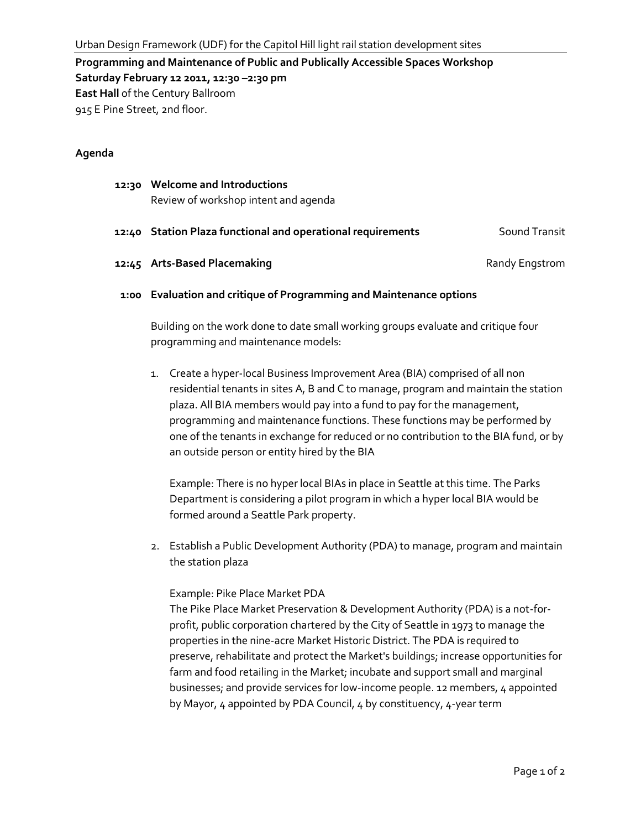**Programming and Maintenance of Public and Publically Accessible Spaces Workshop Saturday February 12 2011, 12:30 –2:30 pm East Hall** of the Century Ballroom 915 E Pine Street, 2nd floor.

## **Agenda**

| 12:30 Welcome and Introductions<br>Review of workshop intent and agenda |                |
|-------------------------------------------------------------------------|----------------|
| 12:40 Station Plaza functional and operational requirements             | Sound Transit  |
| 12:45 Arts-Based Placemaking                                            | Randy Engstrom |

## **1:00 Evaluation and critique of Programming and Maintenance options**

Building on the work done to date small working groups evaluate and critique four programming and maintenance models:

1. Create a hyper-local Business Improvement Area (BIA) comprised of all non residential tenants in sites A, B and C to manage, program and maintain the station plaza. All BIA members would pay into a fund to pay for the management, programming and maintenance functions. These functions may be performed by one of the tenants in exchange for reduced or no contribution to the BIA fund, or by an outside person or entity hired by the BIA

Example: There is no hyper local BIAs in place in Seattle at this time. The Parks Department is considering a pilot program in which a hyper local BIA would be formed around a Seattle Park property.

2. Establish a Public Development Authority (PDA) to manage, program and maintain the station plaza

## Example: Pike Place Market PDA

The Pike Place Market Preservation & Development Authority (PDA) is a not-forprofit, public corporation chartered by the City of Seattle in 1973 to manage the properties in the nine-acre Market Historic District. The PDA is required to preserve, rehabilitate and protect the Market's buildings; increase opportunities for farm and food retailing in the Market; incubate and support small and marginal businesses; and provide services for low-income people. 12 members, 4 appointed by Mayor, 4 appointed by PDA Council, 4 by constituency, 4-year term